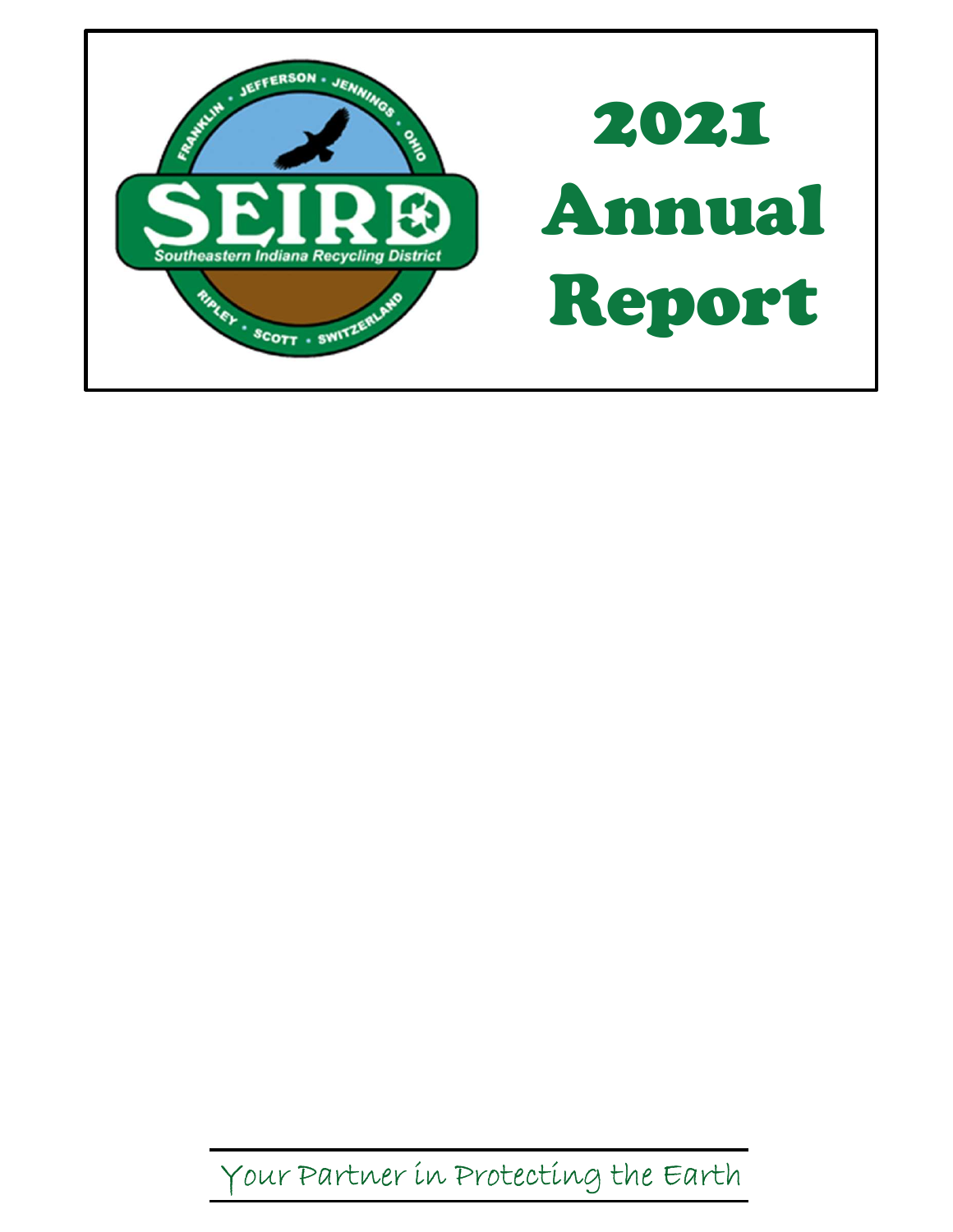

Your Partner in Protecting the Earth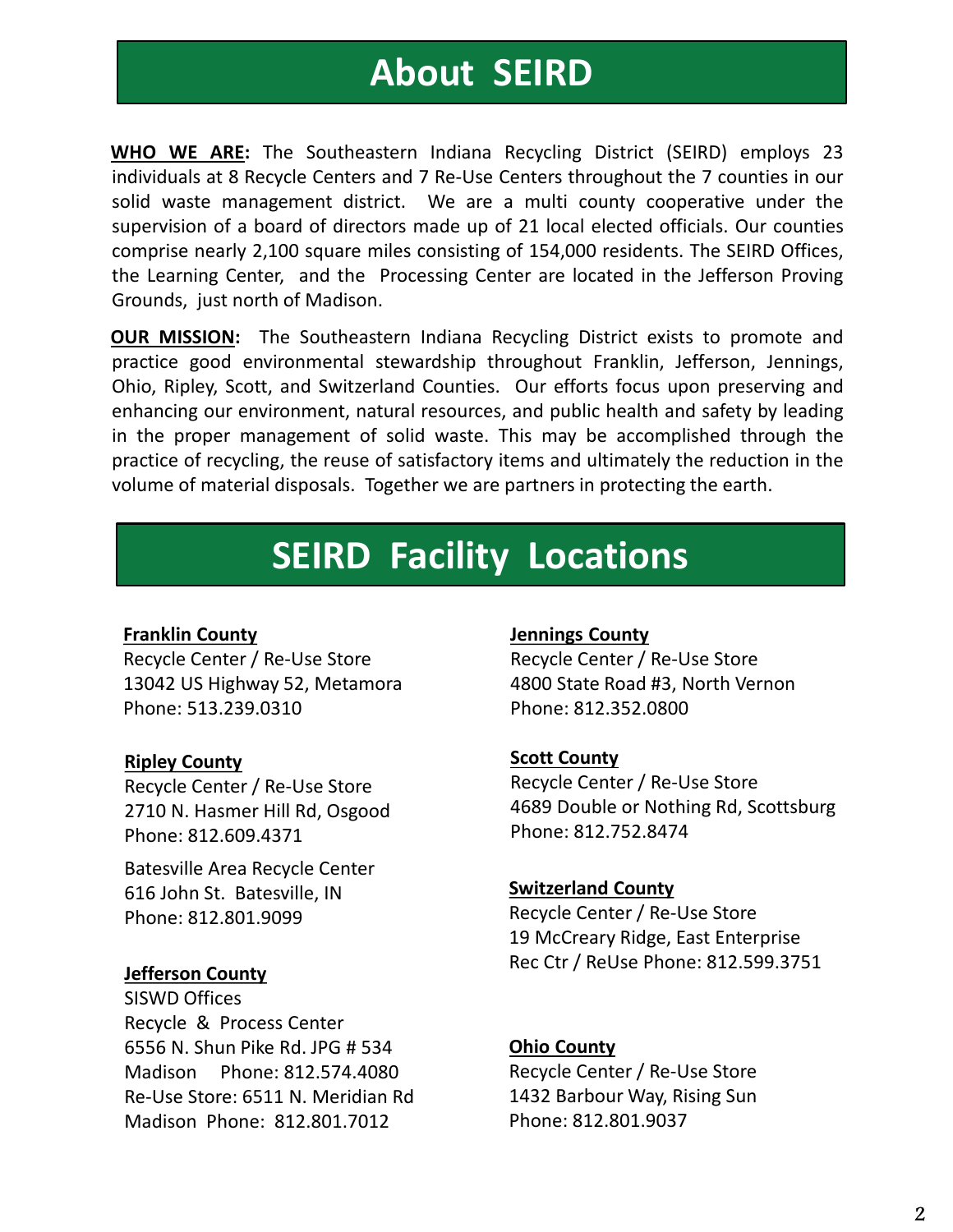# About SEIRD

**About SEIRD**<br>WHO WE ARE: The Southeastern Indiana Recycling District (SEIRD) employs 23<br>individuals at 8 Recycle Centers and 7 Re-Use Centers throughout the 7 counties in our<br>solid waste management district. We are a mult **individuals at 8 Recycle Centers and 7 Re-Use Centers throughout the 7 counties in our solid waste management district. We are a multi county cooperative under the supervision of a board of directors made up of 21 local e SEIRD**<br>Solid was the Southeastern Indiana Recycling District (SEIRD) employs 23<br>individuals at 8 Recycle Centers and 7 Re-Use Centers throughout the 7 counties in our<br>solid waste management district. We are a multi county **Supervision of a board of SEIRD**<br>Supervision of Re-Use Centers throughout the 7 counties in our<br>solid waste management district. We are a multi county cooperative under the<br>supervision of a board of directors made up of 2 **COMPT SEIRD**<br> **COMPTE ANCE:** The Southeastern Indiana Recycling District (SEIRD) employs 23<br>
individuals at 8 Recycle Centers and 7 Re-Use Centers throughout the 7 counties in our<br>
sulpervision of a board of directors mad **CONTITY:** The Southeastern Indiana Recycling District (SEIRD) employs 23<br>
individuals at 8 Recycle Centers and 7 Re-Use Centers throughout the 7 counties in our<br>
solid waste management district. We are a multi county coop **About SEIRD**<br> **CONTAGE:** The Southeastern Indiana Recycling District (SEIRD) employs<br>
individuals at 8 Recycle Centers and 7 Re-Use Centers throughout the 7 counties in<br>
solid waste management district. We are a multi cou **About SEIRD**<br> **WHO WE ARE:** The Southeastern Indiana Recycling District (SEIRD) employs 23<br>
individuals at 8 Recycle Centers and 7 Re-Use Centers throughout the 7 counties in our<br>
sulpervision of a board of directors made **About SEIRD**<br> **WHO WE ARE:** The Southeastern Indiana Recycling District (SEIRD) employs 23<br>
individuals at 8 Recycle Centers and 7 Re-Use Centers throughout the 7 counties in our<br>
solid waste management district. We are a **CONDUCT SEIRD**<br> **CONTEXT WHO WE ARE:** The Southeastern Indiana Recycling District (SEIRD) employs 23<br>
individuals at 8 Recycle Centers and 7 Re-Use Centers throughout the 7 counties in our<br>
solid waste management district **ENTERT SET ASSEM SET ASSEM WHO WE ARE:** The Southeastern Indiana Recycling District (SEIRD) employs 23 individuals at 8 Recycle Centers and 7 Re-Use Centers throughout the 7 counties in our solid waste management district **EXPIDENT SEIRD**<br> **EXPRECISE THE SOURE SERVIDE SERVIDE SERVIDE SERVIDE SERVIDE SERVIDE SERVIDE SERVIDE CONDUST SERVIDE SERVIDE OF SOLUTION SOLUTION SOLUTION CONDITION CONDITIONS (INCREDITED A baracemptic solary of a board EXECT THE SOURT SET ASSEM SERV**<br> **PRODUCE SERVITHERT CONTAINS THEOT CONTAINS TO SET ASSEM AND THEOT CONTROLLY**<br> **PRODUCE SERVITHERT AND THEOT CONTROLLY**<br> **SOLUT AND THEOT CONTROLLY**<br> **SOLUT ADDED SERVITHED SERVITHED SERVI WHO WE ARE:** The Southeastern Indiana Recycling District (SEIRD) employs 23 individuals at 8 Recycle Centers and 7 Re-Use Centers throughout the 7 counties in our solid waste management district. We are a multi county coo

# SEIRD Facility Locations

#### Franklin County

Recycle Center / Re-Use Store 13042 US Highway 52, Metamora Phone: 513.239.0310

#### Ripley County

Recycle Center / Re-Use Store 2710 N. Hasmer Hill Rd, Osgood Phone: 812.609.4371

Batesville Area Recycle Center 616 John St. Batesville, IN Phone: 812.801.9099

#### Jefferson County

SISWD Offices Recycle & Process Center 6556 N. Shun Pike Rd. JPG # 534 Madison Phone: 812.574.4080 Re-Use Store: 6511 N. Meridian Rd Madison Phone: 812.801.7012

#### Jennings County

Recycle Center / Re-Use Store 4800 State Road #3, North Vernon Phone: 812.352.0800

#### Scott County

Recycle Center / Re-Use Store 4689 Double or Nothing Rd, Scottsburg Phone: 812.752.8474

#### Switzerland County

Recycle Center / Re-Use Store 19 McCreary Ridge, East Enterprise Rec Ctr / ReUse Phone: 812.599.3751

#### Ohio County

Recycle Center / Re-Use Store 1432 Barbour Way, Rising Sun Phone: 812.801.9037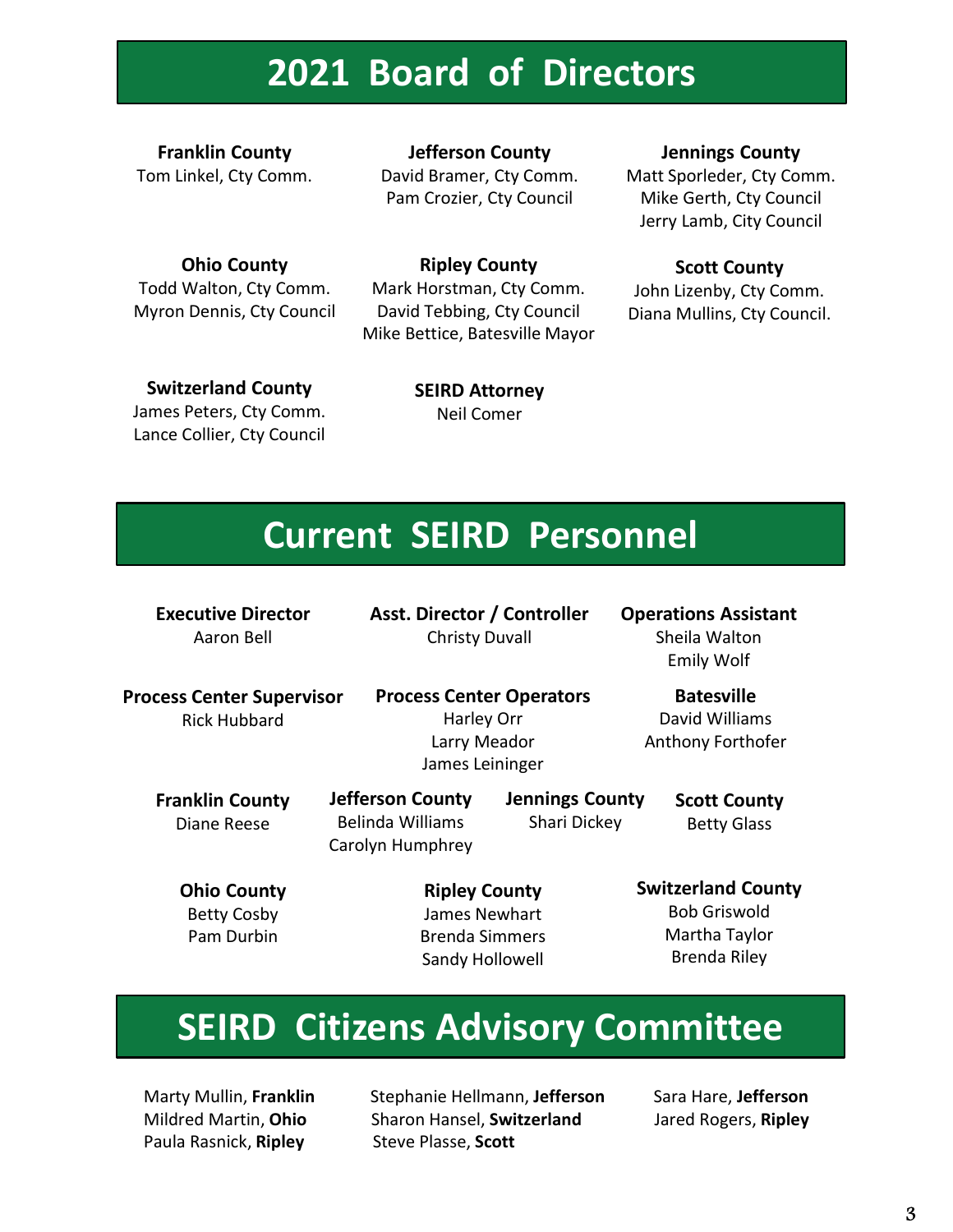# 2021 Board of Directors

Franklin County Tom Linkel, Cty Comm.

Ohio County Todd Walton, Cty Comm. Myron Dennis, Cty Council

Jefferson County David Bramer, Cty Comm. Pam Crozier, Cty Council

Jennings County

Matt Sporleder, Cty Comm. Mike Gerth, Cty Council Jerry Lamb, City Council

#### Ripley County

Mark Horstman, Cty Comm. David Tebbing, Cty Council Mike Bettice, Batesville Mayor

#### Scott County

John Lizenby, Cty Comm. Diana Mullins, Cty Council.

Switzerland County James Peters, Cty Comm.

Lance Collier, Cty Council

SEIRD Attorney Neil Comer

## Current SEIRD Personnel

Executive Director Aaron Bell

Asst. Director / Controller Christy Duvall

Operations Assistant Sheila Walton Emily Wolf

Process Center Supervisor Rick Hubbard

Process Center Operators Harley Orr Larry Meador James Leininger

Batesville David Williams Anthony Forthofer

Franklin County

Carolyn Humphrey

Jefferson County

Jennings County Shari Dickey Diane Reese Belinda Williams Scott County Betty Glass

Ohio County Betty Cosby

Pam Durbin Brenda Simmers Ripley County James Newhart Sandy Hollowell

Switzerland County Bob Griswold Martha Taylor Brenda Riley

# SEIRD Citizens Advisory Committee

Paula Rasnick, Ripley Steve Plasse, Scott

Marty Mullin, Franklin Stephanie Hellmann, Jefferson Sara Hare, Jefferson Mildred Martin, Ohio Sharon Hansel, Switzerland Jared Rogers, Ripley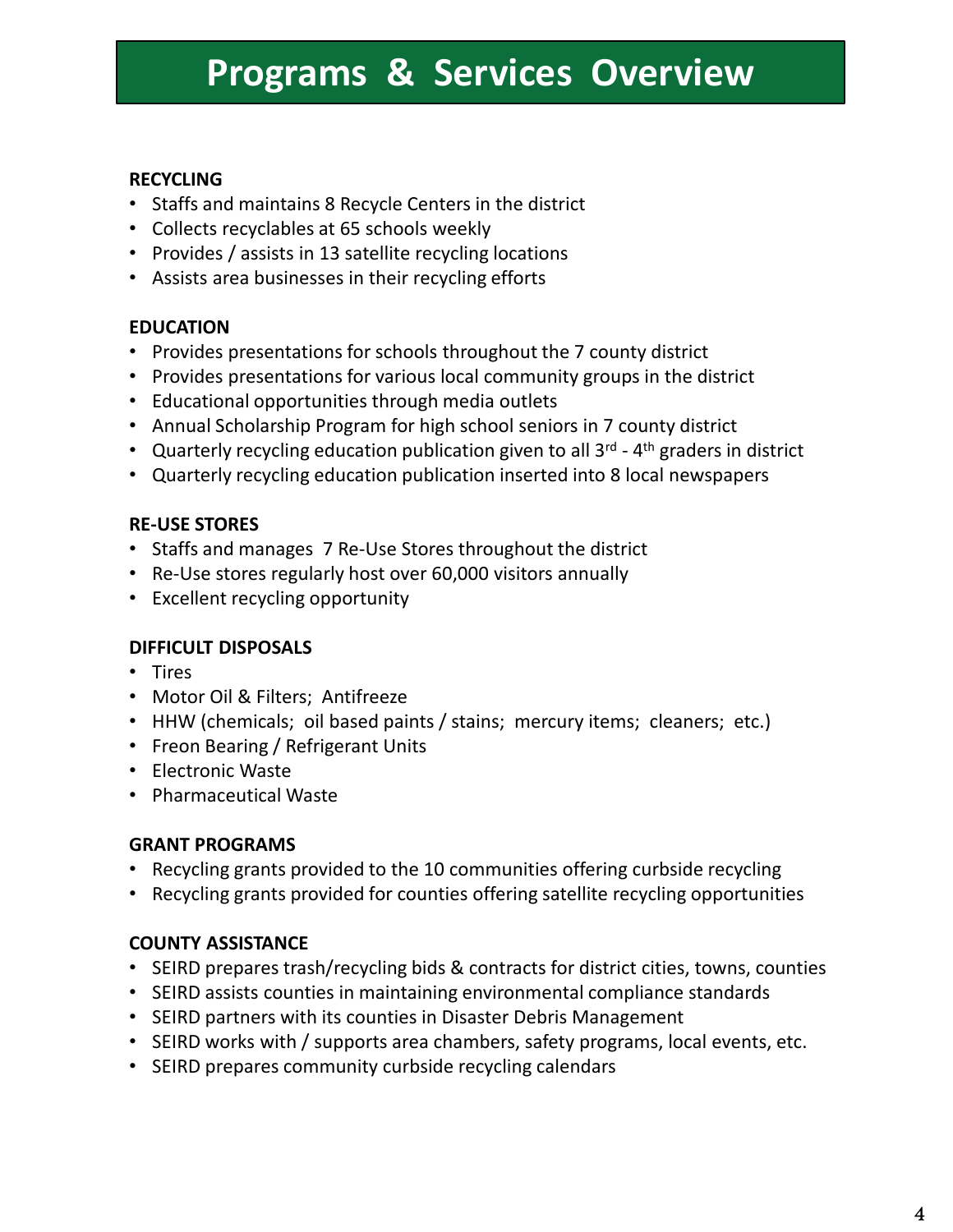# Programs & Services Overview **Programs & Services Overview**<br>
• Staffs and maintains 8 Recycle Centers in the district<br>
• Collects recyclables at 65 schools weekly<br>
• Provides / assists in 13 stellite recycling locations<br>
• Assists area businesses in

#### RECYCLING

- Staffs and maintains 8 Recycle Centers in the district
- Collects recyclables at 65 schools weekly
- Provides / assists in 13 satellite recycling locations
- Assists area businesses in their recycling efforts

#### EDUCATION

- Provides presentations for schools throughout the 7 county district
- Provides presentations for various local community groups in the district
- Educational opportunities through media outlets
- Annual Scholarship Program for high school seniors in 7 county district
- 
- 

#### RE-USE STORES

- Staffs and manages 7 Re-Use Stores throughout the district
- Re-Use stores regularly host over 60,000 visitors annually
- Excellent recycling opportunity

#### DIFFICULT DISPOSALS

- Tires
- Motor Oil & Filters; Antifreeze
- HHW (chemicals; oil based paints / stains; mercury items; cleaners; etc.)
- Freon Bearing / Refrigerant Units
- Electronic Waste
- Pharmaceutical Waste

#### GRANT PROGRAMS

- Recycling grants provided to the 10 communities offering curbside recycling
- Recycling grants provided for counties offering satellite recycling opportunities

#### COUNTY ASSISTANCE

- SEIRD prepares trash/recycling bids & contracts for district cities, towns, counties
- SEIRD assists counties in maintaining environmental compliance standards
- SEIRD partners with its counties in Disaster Debris Management
- SEIRD works with / supports area chambers, safety programs, local events, etc.
- SEIRD prepares community curbside recycling calendars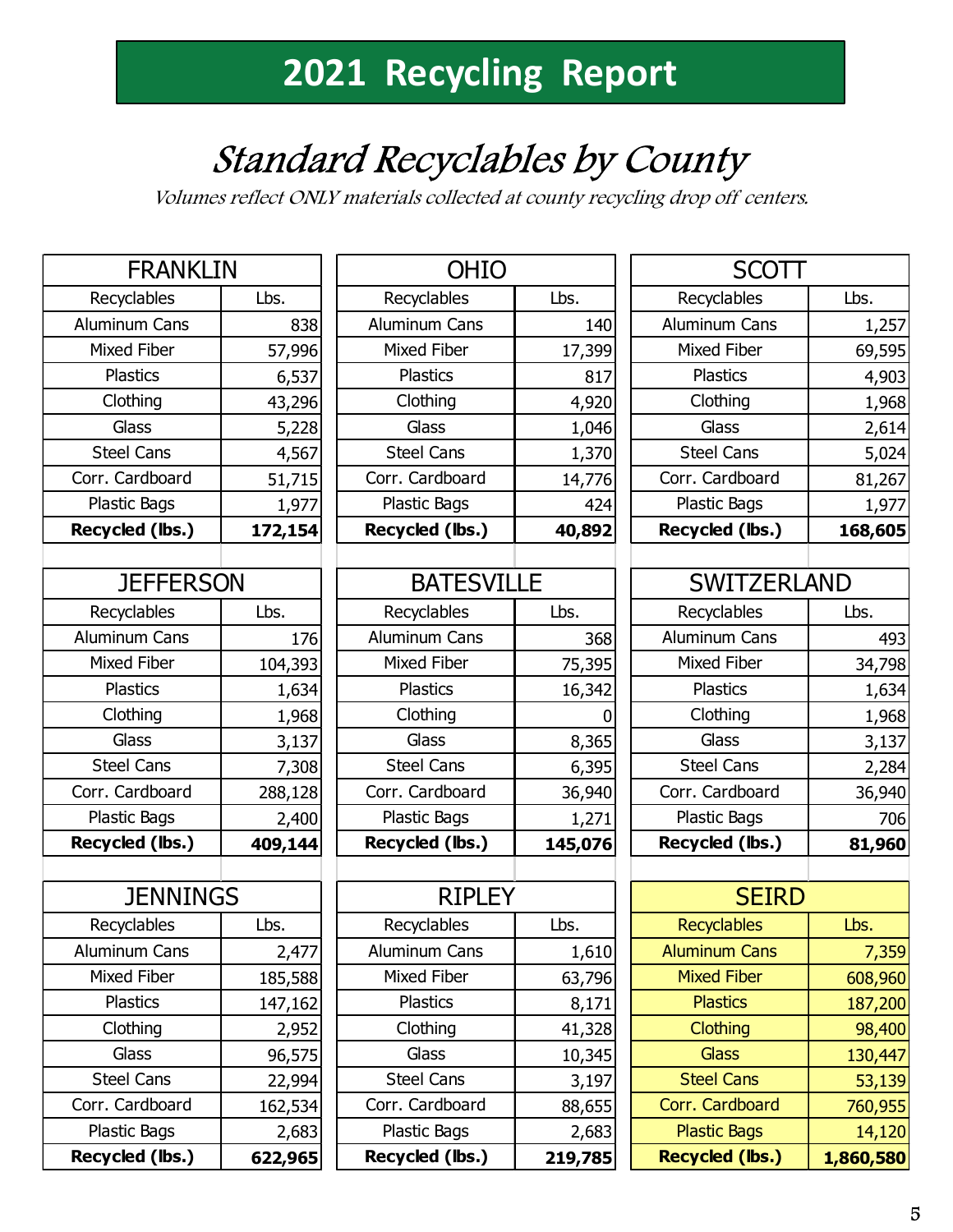# Standard Recyclables by County

Volumes reflect ONLY materials collected at county recycling drop off centers.

|                      |         | <i>volumes renect ONLY materials cohected at county recycling drop on ce.</i> |         |                      |
|----------------------|---------|-------------------------------------------------------------------------------|---------|----------------------|
| <b>FRANKLIN</b>      |         | <b>OHIO</b>                                                                   |         | <b>SC</b>            |
| Recyclables          | Lbs.    | Recyclables                                                                   | Lbs.    | Recyclables          |
| Aluminum Cans        | 838     | Aluminum Cans                                                                 | 140     | Aluminum Car         |
| Mixed Fiber          | 57,996  | Mixed Fiber                                                                   | 17,399  | Mixed Fiber          |
| <b>Plastics</b>      | 6,537   | <b>Plastics</b>                                                               | 817     | <b>Plastics</b>      |
| Clothing             | 43,296  | Clothing                                                                      | 4,920   | Clothing             |
| Glass                | 5,228   | Glass                                                                         | 1,046   | Glass                |
| <b>Steel Cans</b>    | 4,567   | <b>Steel Cans</b>                                                             | 1,370   | <b>Steel Cans</b>    |
| Corr. Cardboard      | 51,715  | Corr. Cardboard                                                               | 14,776  | Corr. Cardboa        |
| Plastic Bags         | 1,977   | Plastic Bags                                                                  | 424     | Plastic Bags         |
| Recycled (lbs.)      | 172,154 | Recycled (lbs.)                                                               | 40,892  | <b>Recycled (lbs</b> |
|                      |         |                                                                               |         |                      |
| <b>JEFFERSON</b>     |         | <b>BATESVILLE</b>                                                             |         | <b>SWITZ</b>         |
| Recyclables          | Lbs.    | Recyclables                                                                   | Lbs.    | Recyclables          |
| <b>Aluminum Cans</b> | 176     | Aluminum Cans                                                                 | 368     | Aluminum Car         |
| Mixed Fiber          | 104,393 | <b>Mixed Fiber</b>                                                            | 75,395  | Mixed Fiber          |
| <b>Plastics</b>      | 1,634   | <b>Plastics</b>                                                               | 16,342  | <b>Plastics</b>      |
| Clothing             | 1,968   | Clothing                                                                      | 0       | Clothing             |
| Glass                | 3,137   | Glass                                                                         | 8,365   | Glass                |
| <b>Steel Cans</b>    | 7,308   | <b>Steel Cans</b>                                                             | 6,395   | <b>Steel Cans</b>    |
| Corr. Cardboard      | 288,128 | Corr. Cardboard                                                               | 36,940  | Corr. Cardboa        |
| Plastic Bags         | 2,400   | Plastic Bags                                                                  | 1,271   | Plastic Bags         |
| Recycled (lbs.)      | 409,144 | Recycled (lbs.)                                                               | 145,076 | <b>Recycled (lbs</b> |
|                      |         |                                                                               |         |                      |
| <b>JENNINGS</b>      |         | <b>RIPLEY</b>                                                                 |         | <b>SE</b>            |
| Recyclables          | Lbs.    | Recyclables                                                                   | Lbs.    | <b>Recyclables</b>   |
| Aluminum Cans        | 2,477   | Aluminum Cans                                                                 | 1,610   | <b>Aluminum Car</b>  |
| Mixed Fiber          | 185,588 | Mixed Fiber                                                                   | 63,796  | <b>Mixed Fiber</b>   |
| <b>Plastics</b>      | 147,162 | <b>Plastics</b>                                                               | 8,171   | <b>Plastics</b>      |
| Clothing             | 2,952   | Clothing                                                                      | 41,328  | Clothing             |
| Glass                | 96,575  | Glass                                                                         | 10,345  | <b>Glass</b>         |
| <b>Steel Cans</b>    | 22,994  | <b>Steel Cans</b>                                                             | 3,197   | <b>Steel Cans</b>    |
| Corr. Cardboard      | 162,534 | Corr. Cardboard                                                               | 88,655  | Corr. Cardboa        |
| Plastic Bags         | 2,683   | Plastic Bags                                                                  | 2,683   | <b>Plastic Bags</b>  |
| Recycled (lbs.)      | 622,965 | Recycled (lbs.)                                                               | 219,785 | <b>Recycled (lbs</b> |

|                      |                 | 2021 Recycling Report                                                                                              |               |                    |
|----------------------|-----------------|--------------------------------------------------------------------------------------------------------------------|---------------|--------------------|
|                      |                 | <b>Standard Recyclables by County</b><br>Volumes reflect ONLY materials collected at county recycling drop off cel |               |                    |
| <b>FRANKLIN</b>      |                 | <b>OHIO</b>                                                                                                        |               | <b>SC</b>          |
| Recyclables          | Lbs.            | Recyclables                                                                                                        | Lbs.          | Recyclables        |
|                      |                 | Aluminum Cans                                                                                                      | 140           | Aluminum Car       |
| <b>Aluminum Cans</b> | 838             |                                                                                                                    |               |                    |
| <b>Mixed Fiber</b>   | 57,996          | <b>Mixed Fiber</b>                                                                                                 | 17,399        | <b>Mixed Fiber</b> |
| <b>Plastics</b>      | 6,537           | <b>Plastics</b>                                                                                                    | 817           | <b>Plastics</b>    |
| Clothing             | 43,296          | Clothing                                                                                                           | 4,920         | Clothing           |
| Glass                |                 | Glass                                                                                                              |               | Glass              |
| <b>Steel Cans</b>    | 5,228<br>4,567  | <b>Steel Cans</b>                                                                                                  | 1,046         | <b>Steel Cans</b>  |
| Corr. Cardboard      |                 | Corr. Cardboard                                                                                                    | 1,370         | Corr. Cardboa      |
| Plastic Bags         | 51,715<br>1,977 | Plastic Bags                                                                                                       | 14,776<br>424 | Plastic Bags       |

| <b>JEFFERSON</b>  |         | <b>BATESVILLE</b> |         | <b>SWITZERLAND</b> |        |
|-------------------|---------|-------------------|---------|--------------------|--------|
| Recyclables       | Lbs.    | Recyclables       | Lbs.    | Recyclables        | Lbs.   |
| Aluminum Cans     | 176     | Aluminum Cans     | 368     | Aluminum Cans      | 493    |
| Mixed Fiber       | 104,393 | Mixed Fiber       | 75,395  | <b>Mixed Fiber</b> | 34,798 |
| <b>Plastics</b>   | 1,634   | <b>Plastics</b>   | 16,342  | <b>Plastics</b>    | 1,634  |
| Clothing          | 1,968   | Clothing          |         | Clothing           | 1,968  |
| Glass             | 3,137   | Glass             | 8,365   | Glass              | 3,137  |
| <b>Steel Cans</b> | 7,308   | <b>Steel Cans</b> | 6,395   | <b>Steel Cans</b>  | 2,284  |
| Corr. Cardboard   | 288,128 | Corr. Cardboard   | 36,940  | Corr. Cardboard    | 36,940 |
| Plastic Bags      | 2,400   | Plastic Bags      | 1,271   | Plastic Bags       | 706    |
| Recycled (lbs.)   | 409,144 | Recycled (lbs.)   | 145,076 | Recycled (lbs.)    | 81,960 |

| <b>JENNINGS</b>    |         | <b>RIPLEY</b>      |         | <b>SEIRI</b>           |
|--------------------|---------|--------------------|---------|------------------------|
| Recyclables        | Lbs.    | Recyclables        | Lbs.    | <b>Recyclables</b>     |
| Aluminum Cans      | 2,477   | Aluminum Cans      | 1,610   | <b>Aluminum Cans</b>   |
| <b>Mixed Fiber</b> | 185,588 | <b>Mixed Fiber</b> | 63,796  | <b>Mixed Fiber</b>     |
| <b>Plastics</b>    | 147,162 | <b>Plastics</b>    | 8,171   | <b>Plastics</b>        |
| Clothing           | 2,952   | Clothing           | 41,328  | <b>Clothing</b>        |
| Glass              | 96,575  | Glass              | 10,345  | <b>Glass</b>           |
| <b>Steel Cans</b>  | 22,994  | <b>Steel Cans</b>  | 3,197   | <b>Steel Cans</b>      |
| Corr. Cardboard    | 162,534 | Corr. Cardboard    | 88,655  | Corr. Cardboard        |
| Plastic Bags       | 2,683   | Plastic Bags       | 2,683   | <b>Plastic Bags</b>    |
| Recycled (lbs.)    | 622,965 | Recycled (lbs.)    | 219,785 | <b>Recycled (lbs.)</b> |

| <b>Recycling Report</b> |         |                                                          |         |
|-------------------------|---------|----------------------------------------------------------|---------|
|                         |         |                                                          |         |
|                         |         |                                                          |         |
| Recyclables by County   |         |                                                          |         |
|                         |         |                                                          |         |
|                         |         | aterials collected at county recycling drop off centers. |         |
|                         |         |                                                          |         |
| <b>OHIO</b>             |         | <b>SCOTT</b>                                             |         |
| Recyclables             | Lbs.    | Recyclables                                              | Lbs.    |
| Aluminum Cans           | 140     | Aluminum Cans                                            | 1,257   |
| <b>Mixed Fiber</b>      | 17,399  | Mixed Fiber                                              | 69,595  |
| <b>Plastics</b>         | 817     | <b>Plastics</b>                                          | 4,903   |
| Clothing                | 4,920   | Clothing                                                 | 1,968   |
| Glass                   | 1,046   | Glass                                                    | 2,614   |
| <b>Steel Cans</b>       | 1,370   | <b>Steel Cans</b>                                        | 5,024   |
| Corr. Cardboard         | 14,776  | Corr. Cardboard                                          | 81,267  |
| Plastic Bags            | 424     | Plastic Bags                                             | 1,977   |
| Recycled (lbs.)         | 40,892  | Recycled (lbs.)                                          | 168,605 |
|                         |         |                                                          |         |
| <b>BATESVILLE</b>       |         | <b>SWITZERLAND</b>                                       |         |
| Recyclables             | Lbs.    | Recyclables                                              | Lbs.    |
| Aluminum Cans           | 368     | Aluminum Cans                                            | 493     |
| Mixed Fiber             | 75,395  | Mixed Fiber                                              | 34,798  |
| <b>Plastics</b>         | 16,342  | <b>Plastics</b>                                          | 1,634   |
| Clothing                | 0       | Clothing                                                 | 1,968   |
| Glass                   | 8,365   | Glass                                                    | 3,137   |
| <b>Steel Cans</b>       | 6,395   | <b>Steel Cans</b>                                        | 2,284   |
| Corr. Cardboard         | 36,940  | Corr. Cardboard                                          | 36,940  |
| Plastic Bags            | 1,271   | Plastic Bags                                             | 706     |
| Recycled (lbs.)         | 145,076 | Recycled (lbs.)                                          | 81,960  |
|                         |         |                                                          |         |
| <b>RIPLEY</b>           |         | <b>SEIRD</b>                                             |         |
| Recyclables             | Lbs.    | <b>Recyclables</b>                                       | Lbs.    |
| Aluminum Cans           | 1,610   | <b>Aluminum Cans</b>                                     | 7,359   |
| Mixed Fiber             | 63,796  | <b>Mixed Fiber</b>                                       | 608,960 |
| Plastics                | 8,171   | <b>Plastics</b>                                          | 187,200 |

| <b>RIPLEY</b>     |         | <b>SEIRD</b>           |           |
|-------------------|---------|------------------------|-----------|
| Recyclables       | Lbs.    | <b>Recyclables</b>     | Lbs.      |
| Aluminum Cans     | 1,610   | <b>Aluminum Cans</b>   | 7,359     |
| Mixed Fiber       | 63,796  | <b>Mixed Fiber</b>     | 608,960   |
| <b>Plastics</b>   | 8,171   | <b>Plastics</b>        | 187,200   |
| Clothing          | 41,328  | <b>Clothing</b>        | 98,400    |
| <b>Glass</b>      | 10,345  | <b>Glass</b>           | 130,447   |
| <b>Steel Cans</b> | 3,197   | <b>Steel Cans</b>      | 53,139    |
| Corr. Cardboard   | 88,655  | Corr. Cardboard        | 760,955   |
| Plastic Bags      | 2,683   | <b>Plastic Bags</b>    | 14,120    |
| Recycled (lbs.)   | 219,785 | <b>Recycled (lbs.)</b> | 1,860,580 |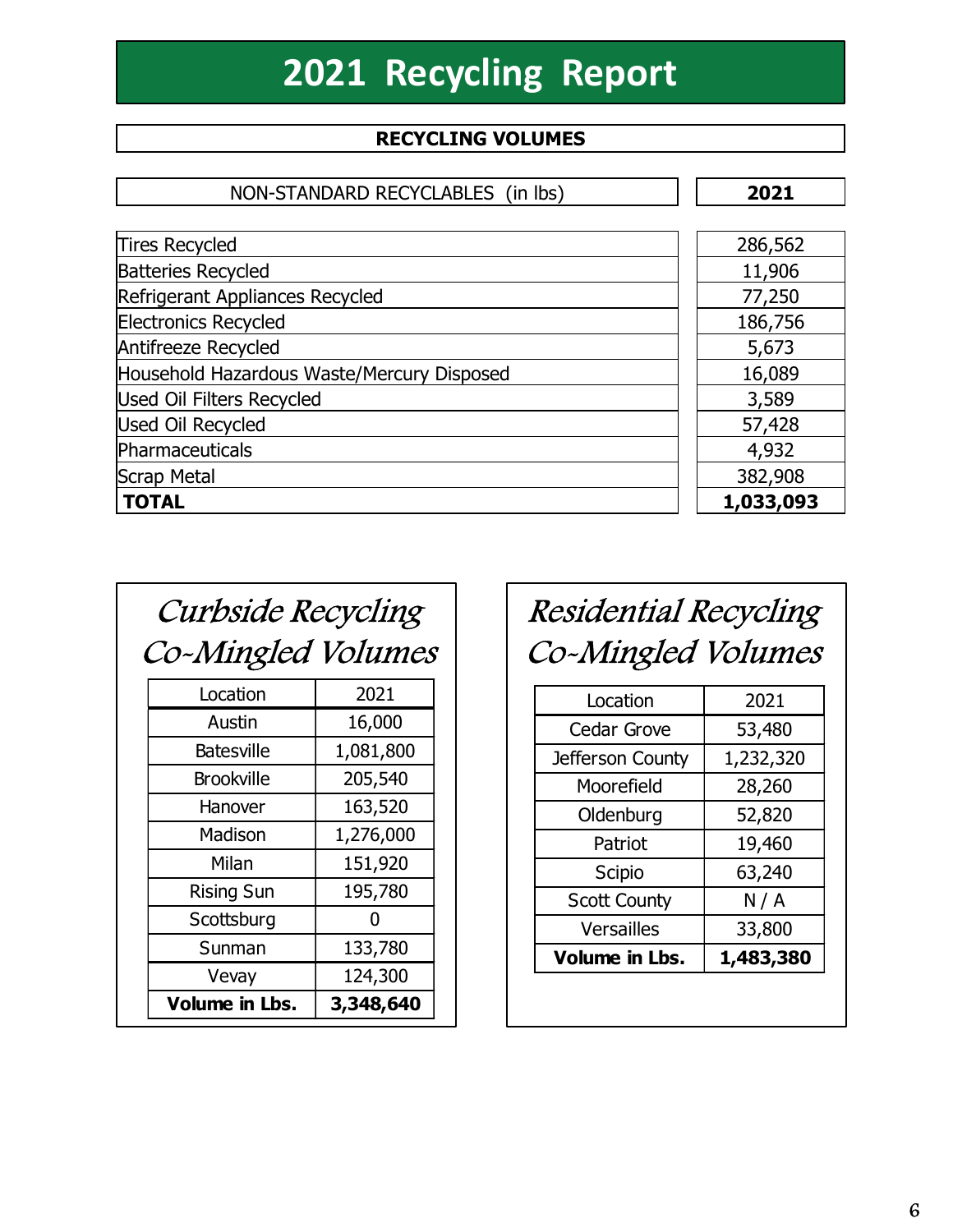# 2021 Recycling Report

# Non-Standard Recycling Volumes<br>Recycling Volumes

|                                                 |                                   | <b>2021 Recycling Report</b>                       |           |
|-------------------------------------------------|-----------------------------------|----------------------------------------------------|-----------|
|                                                 | <b>RECYCLING VOLUMES</b>          |                                                    |           |
|                                                 | NON-STANDARD RECYCLABLES (in lbs) |                                                    | 2021      |
| <b>Tires Recycled</b>                           |                                   |                                                    | 286,562   |
| <b>Batteries Recycled</b>                       |                                   |                                                    | 11,906    |
| Refrigerant Appliances Recycled                 |                                   |                                                    | 77,250    |
| <b>Electronics Recycled</b>                     |                                   |                                                    | 186,756   |
| Antifreeze Recycled                             |                                   |                                                    | 5,673     |
| Household Hazardous Waste/Mercury Disposed      |                                   |                                                    | 16,089    |
| <b>Used Oil Filters Recycled</b>                |                                   |                                                    | 3,589     |
| <b>Used Oil Recycled</b>                        |                                   |                                                    | 57,428    |
| Pharmaceuticals                                 |                                   |                                                    | 4,932     |
| Scrap Metal                                     |                                   |                                                    | 382,908   |
| <b>TOTAL</b>                                    |                                   |                                                    | 1,033,093 |
| <b>Curbside Recycling</b><br>Co-Mingled Volumes |                                   | <b>Residential Recycling</b><br>Co-Mingled Volumes |           |
| Location                                        | 2021                              |                                                    |           |
| Austin                                          | 16,000                            | Location                                           | 2021      |
| <b>Batesville</b>                               |                                   | Cedar Grove                                        | 53,480    |
|                                                 | 1,081,800                         | Jefferson County                                   | 1,232,320 |
| <b>Brookville</b>                               | 205,540                           | Moorefield                                         | 28,260    |
| Hanover                                         | 163,520                           | Oldenburg                                          | 52,820    |
| Madison                                         | 1,276,000                         | Patriot                                            | 19,460    |
| Milan                                           | 151,920                           | Scipio                                             | 63,240    |
| <b>Rising Sun</b>                               | 195,780                           | $C$ cott $C$ ountu                                 | N/I       |

| <b>Curbside Recycling</b><br>Co-Mingled Volumes |      | Residential Recycling<br>Co-Mingled Volumes |      |  |
|-------------------------------------------------|------|---------------------------------------------|------|--|
| Location                                        | 2021 | Location                                    | 2021 |  |

| Volume in Lbs.    | 3,348,640 |
|-------------------|-----------|
| Vevay             | 124,300   |
| Sunman            | 133,780   |
| Scottsburg        |           |
| <b>Rising Sun</b> | 195,780   |
| Milan             | 151,920   |
| Madison           | 1,276,000 |
| Hanover           | 163,520   |
| <b>Brookville</b> | 205,540   |
| <b>Batesville</b> | 1,081,800 |
| Austin            | 16,000    |
| .vuuvil           |           |

# Curbside Recycling Residential Recycling

| noid Hazardous waste/mercury Disposed: |           |                              | <b>10,099</b> |
|----------------------------------------|-----------|------------------------------|---------------|
| Oil Filters Recycled                   |           |                              | 3,589         |
| Oil Recycled                           |           |                              | 57,428        |
| aceuticals                             |           |                              | 4,932         |
| Metal                                  |           |                              | 382,908       |
| <b>IL</b>                              |           |                              | 1,033,093     |
|                                        |           |                              |               |
|                                        |           |                              |               |
| <i>Curbside Recycling</i>              |           | <b>Residential Recycling</b> |               |
| o-Mingled Volumes                      |           | Co-Mingled Volumes           |               |
| Location                               | 2021      | Location                     | 2021          |
| Austin                                 | 16,000    | Cedar Grove                  | 53,480        |
| <b>Batesville</b>                      | 1,081,800 | Jefferson County             | 1,232,320     |
| <b>Brookville</b>                      | 205,540   | Moorefield                   | 28,260        |
| Hanover                                | 163,520   | Oldenburg                    | 52,820        |
| Madison                                | 1,276,000 | Patriot                      | 19,460        |
| Milan                                  | 151,920   | Scipio                       | 63,240        |
| <b>Rising Sun</b>                      | 195,780   | <b>Scott County</b>          | N/A           |
| Scottsburg                             | 0         | Versailles                   |               |
| Sunman                                 | 133,780   |                              | 33,800        |
| Vevay                                  | 124,300   | <b>Volume in Lbs.</b>        | 1,483,380     |
| Volume in Lbs.                         | 3,348,640 |                              |               |
|                                        |           |                              |               |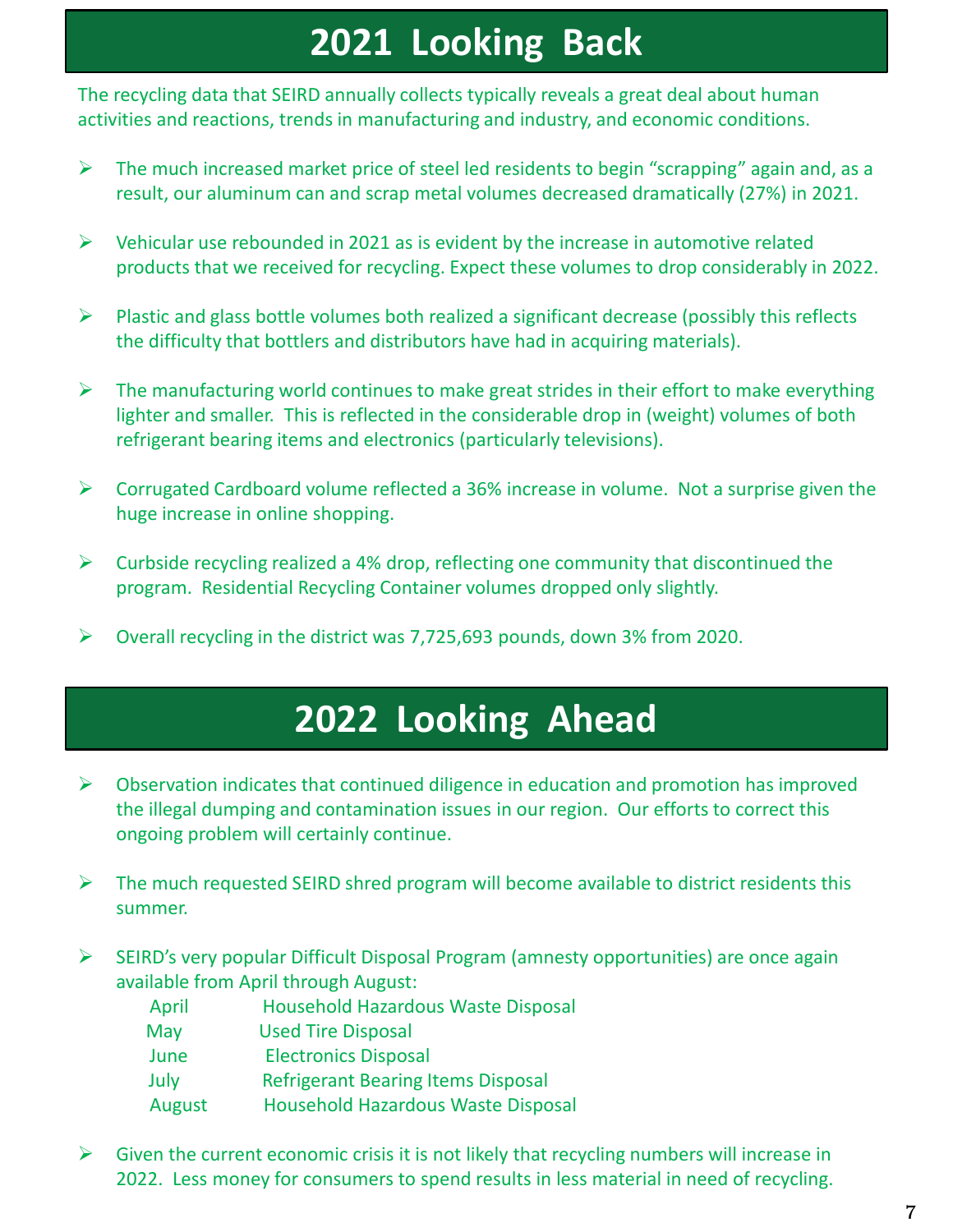# 2021 Looking Back

The recycling data that SEIRD annually collects typically reveals a great deal about human activities and reactions, trends in manufacturing and industry, and economic conditions.

- $\triangleright$  The much increased market price of steel led residents to begin "scrapping" again and, as a result, our aluminum can and scrap metal volumes decreased dramatically (27%) in 2021.
- $\triangleright$  Vehicular use rebounded in 2021 as is evident by the increase in automotive related products that we received for recycling. Expect these volumes to drop considerably in 2022.
- $\triangleright$  Plastic and glass bottle volumes both realized a significant decrease (possibly this reflects the difficulty that bottlers and distributors have had in acquiring materials).
- $\triangleright$  The manufacturing world continues to make great strides in their effort to make everything lighter and smaller. This is reflected in the considerable drop in (weight) volumes of both refrigerant bearing items and electronics (particularly televisions).
- $\triangleright$  Corrugated Cardboard volume reflected a 36% increase in volume. Not a surprise given the huge increase in online shopping.
- $\triangleright$  Curbside recycling realized a 4% drop, reflecting one community that discontinued the program. Residential Recycling Container volumes dropped only slightly.
- Overall recycling in the district was 7,725,693 pounds, down 3% from 2020.

# 2022 Looking Ahead

- $\triangleright$  Observation indicates that continued diligence in education and promotion has improved the illegal dumping and contamination issues in our region. Our efforts to correct this ongoing problem will certainly continue.
- $\triangleright$  The much requested SEIRD shred program will become available to district residents this summer.
- $\triangleright$  SEIRD's very popular Difficult Disposal Program (amnesty opportunities) are once again available from April through August:
- April Household Hazardous Waste Disposal May Used Tire Disposal June Electronics Disposal **2022 Looking Ahead**<br>
Ervation indicates that continued diligence in education and promotion has<br>
illegal dumping and contamination issues in our region. Our efforts to corre<br>
oring problem will certainly continue.<br>
much r August Household Hazardous Waste Disposal
- $\triangleright$  Given the current economic crisis it is not likely that recycling numbers will increase in 2022. Less money for consumers to spend results in less material in need of recycling.